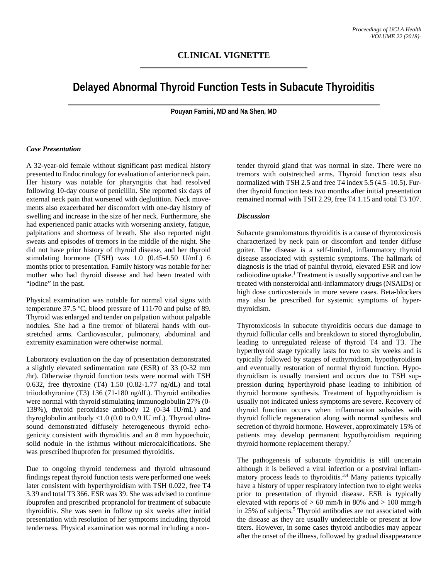## **CLINICAL VIGNETTE**

# **Delayed Abnormal Thyroid Function Tests in Subacute Thyroiditis**

**Pouyan Famini, MD and Na Shen, MD**

#### *Case Presentation*

A 32-year-old female without significant past medical history presented to Endocrinology for evaluation of anterior neck pain. Her history was notable for pharyngitis that had resolved following 10-day course of penicillin. She reported six days of external neck pain that worsened with deglutition. Neck movements also exacerbated her discomfort with one-day history of swelling and increase in the size of her neck. Furthermore, she had experienced panic attacks with worsening anxiety, fatigue, palpitations and shortness of breath. She also reported night sweats and episodes of tremors in the middle of the night. She did not have prior history of thyroid disease, and her thyroid stimulating hormone (TSH) was 1.0 (0.45-4.50 U/mL) 6 months prior to presentation. Family history was notable for her mother who had thyroid disease and had been treated with "iodine" in the past.

Physical examination was notable for normal vital signs with temperature  $37.5 \text{ °C}$ , blood pressure of  $111/70$  and pulse of 89. Thyroid was enlarged and tender on palpation without palpable nodules. She had a fine tremor of bilateral hands with outstretched arms. Cardiovascular, pulmonary, abdominal and extremity examination were otherwise normal.

Laboratory evaluation on the day of presentation demonstrated a slightly elevated sedimentation rate (ESR) of 33 (0-32 mm /hr). Otherwise thyroid function tests were normal with TSH 0.632, free thyroxine (T4) 1.50 (0.82-1.77 ng/dL) and total triiodothyronine (T3) 136 (71-180 ng/dL). Thyroid antibodies were normal with thyroid stimulating immunoglobulin 27% (0- 139%), thyroid peroxidase antibody 12 (0-34 IU/mL) and thyroglobulin antibody <1.0 (0.0 to 0.9 IU mL). Thyroid ultrasound demonstrated diffusely heterogeneous thyroid echogenicity consistent with thyroiditis and an 8 mm hypoechoic, solid nodule in the isthmus without microcalcifications. She was prescribed ibuprofen for presumed thyroiditis.

Due to ongoing thyroid tenderness and thyroid ultrasound findings repeat thyroid function tests were performed one week later consistent with hyperthyroidism with TSH 0.022, free T4 3.39 and total T3 366. ESR was 39. She was advised to continue ibuprofen and prescribed propranolol for treatment of subacute thyroiditis. She was seen in follow up six weeks after initial presentation with resolution of her symptoms including thyroid tenderness. Physical examination was normal including a non-

tender thyroid gland that was normal in size. There were no tremors with outstretched arms. Thyroid function tests also normalized with TSH 2.5 and free T4 index 5.5 (4.5–10.5). Further thyroid function tests two months after initial presentation remained normal with TSH 2.29, free T4 1.15 and total T3 107.

#### *Discussion*

Subacute granulomatous thyroiditis is a cause of thyrotoxicosis characterized by neck pain or discomfort and tender diffuse goiter. The disease is a self-limited, inflammatory thyroid disease associated with systemic symptoms. The hallmark of diagnosis is the triad of painful thyroid, elevated ESR and low radioiodine uptake.<sup>1</sup> Treatment is usually supportive and can be treated with nonsteroidal anti-inflammatory drugs (NSAIDs) or high dose corticosteroids in more severe cases. Beta-blockers may also be prescribed for systemic symptoms of hyperthyroidism.

Thyrotoxicosis in subacute thyroiditis occurs due damage to thyroid follicular cells and breakdown to stored thyroglobulin, leading to unregulated release of thyroid T4 and T3. The hyperthyroid stage typically lasts for two to six weeks and is typically followed by stages of euthyroidism, hypothyroidism and eventually restoration of normal thyroid function. Hypothyroidism is usually transient and occurs due to TSH suppression during hyperthyroid phase leading to inhibition of thyroid hormone synthesis. Treatment of hypothyroidism is usually not indicated unless symptoms are severe. Recovery of thyroid function occurs when inflammation subsides with thyroid follicle regeneration along with normal synthesis and secretion of thyroid hormone. However, approximately 15% of patients may develop permanent hypothyroidism requiring thyroid hormone replacement therapy.<sup>2</sup>

The pathogenesis of subacute thyroiditis is still uncertain although it is believed a viral infection or a postviral inflammatory process leads to thyroiditis.<sup>3,4</sup> Many patients typically have a history of upper respiratory infection two to eight weeks prior to presentation of thyroid disease. ESR is typically elevated with reports of  $> 60$  mm/h in 80% and  $> 100$  mmg/h in 25% of subjects.<sup>5</sup> Thyroid antibodies are not associated with the disease as they are usually undetectable or present at low titers. However, in some cases thyroid antibodies may appear after the onset of the illness, followed by gradual disappearance